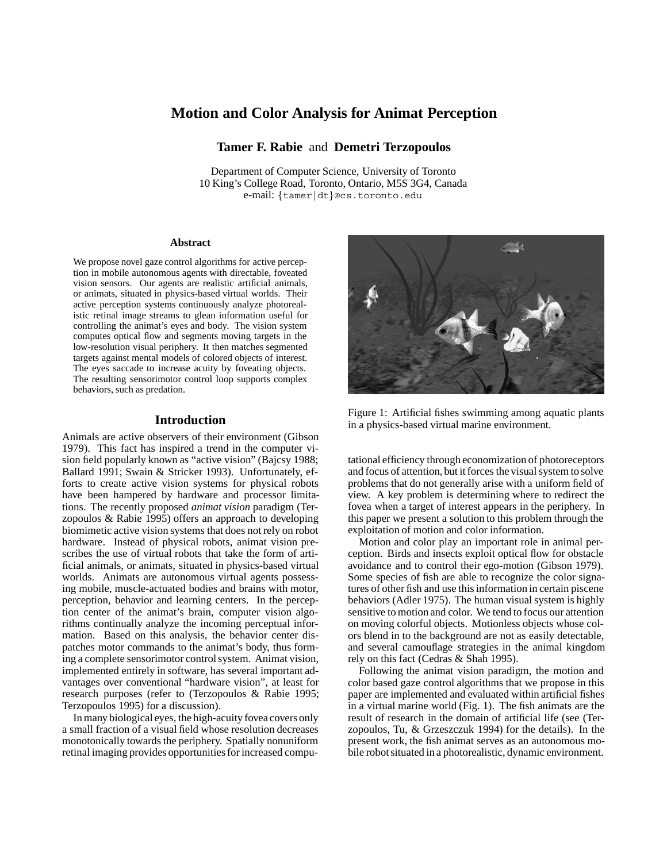# **Motion and Color Analysis for Animat Perception**

**Tamer F. Rabie** and **Demetri Terzopoulos**

Department of Computer Science, University of Toronto 10 King's College Road, Toronto, Ontario, M5S 3G4, Canada e-mail: {tamer|dt}@cs.toronto.edu

#### **Abstract**

We propose novel gaze control algorithms for active perception in mobile autonomous agents with directable, foveated vision sensors. Our agents are realistic artificial animals, or animats, situated in physics-based virtual worlds. Their active perception systems continuously analyze photorealistic retinal image streams to glean information useful for controlling the animat's eyes and body. The vision system computes optical flow and segments moving targets in the low-resolution visual periphery. It then matches segmented targets against mental models of colored objects of interest. The eyes saccade to increase acuity by foveating objects. The resulting sensorimotor control loop supports complex behaviors, such as predation.

### **Introduction**

Animals are active observers of their environment (Gibson 1979). This fact has inspired a trend in the computer vision field popularly known as "active vision" (Bajcsy 1988; Ballard 1991; Swain & Stricker 1993). Unfortunately, efforts to create active vision systems for physical robots have been hampered by hardware and processor limitations. The recently proposed *animat vision* paradigm (Terzopoulos & Rabie 1995) offers an approach to developing biomimetic active vision systems that does not rely on robot hardware. Instead of physical robots, animat vision prescribes the use of virtual robots that take the form of artificial animals, or animats, situated in physics-based virtual worlds. Animats are autonomous virtual agents possessing mobile, muscle-actuated bodies and brains with motor, perception, behavior and learning centers. In the perception center of the animat's brain, computer vision algorithms continually analyze the incoming perceptual information. Based on this analysis, the behavior center dispatches motor commands to the animat's body, thus forming a complete sensorimotor control system. Animat vision, implemented entirely in software, has several important advantages over conventional "hardware vision", at least for research purposes (refer to (Terzopoulos & Rabie 1995; Terzopoulos 1995) for a discussion).

In many biological eyes, the high-acuity fovea covers only a small fraction of a visual field whose resolution decreases monotonically towards the periphery. Spatially nonuniform retinal imaging provides opportunities for increased compu-



Figure 1: Artificial fishes swimming among aquatic plants in a physics-based virtual marine environment.

tational efficiency through economization of photoreceptors and focus of attention, but it forces the visual system to solve problems that do not generally arise with a uniform field of view. A key problem is determining where to redirect the fovea when a target of interest appears in the periphery. In this paper we present a solution to this problem through the exploitation of motion and color information.

Motion and color play an important role in animal perception. Birds and insects exploit optical flow for obstacle avoidance and to control their ego-motion (Gibson 1979). Some species of fish are able to recognize the color signatures of other fish and use this information in certain piscene behaviors (Adler 1975). The human visual system is highly sensitive to motion and color. We tend to focus our attention on moving colorful objects. Motionless objects whose colors blend in to the background are not as easily detectable, and several camouflage strategies in the animal kingdom rely on this fact (Cedras & Shah 1995).

Following the animat vision paradigm, the motion and color based gaze control algorithms that we propose in this paper are implemented and evaluated within artificial fishes in a virtual marine world (Fig. 1). The fish animats are the result of research in the domain of artificial life (see (Terzopoulos, Tu, & Grzeszczuk 1994) for the details). In the present work, the fish animat serves as an autonomous mobile robot situated in a photorealistic, dynamic environment.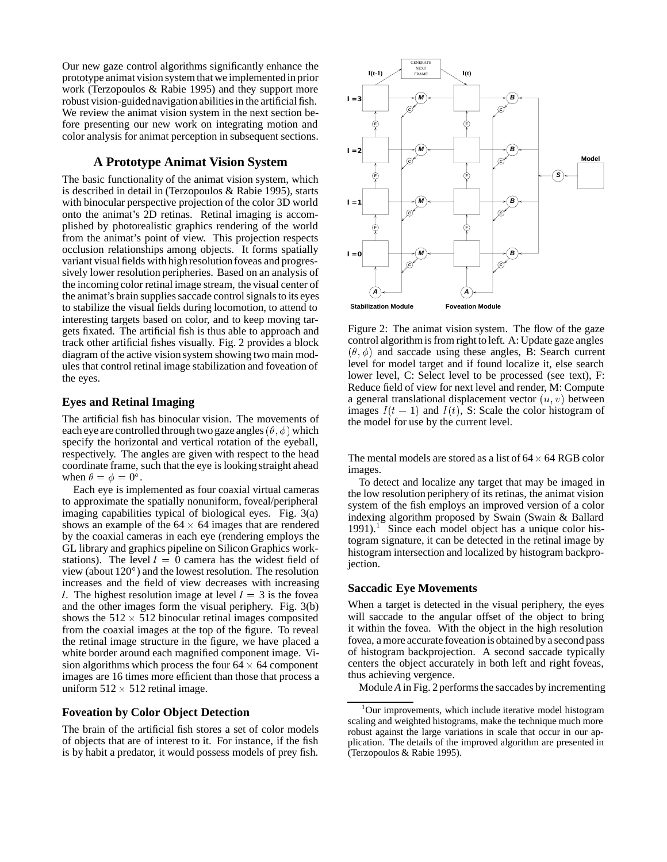Our new gaze control algorithms significantly enhance the prototype animat vision system that we implemented in prior work (Terzopoulos & Rabie 1995) and they support more robust vision-guidednavigation abilities in the artificial fish. We review the animat vision system in the next section before presenting our new work on integrating motion and color analysis for animat perception in subsequent sections.

## **A Prototype Animat Vision System**

The basic functionality of the animat vision system, which is described in detail in (Terzopoulos & Rabie 1995), starts with binocular perspective projection of the color 3D world onto the animat's 2D retinas. Retinal imaging is accomplished by photorealistic graphics rendering of the world from the animat's point of view. This projection respects occlusion relationships among objects. It forms spatially variant visual fields with high resolution foveas and progressively lower resolution peripheries. Based on an analysis of the incoming color retinal image stream, the visual center of the animat's brain supplies saccade control signals to its eyes to stabilize the visual fields during locomotion, to attend to interesting targets based on color, and to keep moving targets fixated. The artificial fish is thus able to approach and track other artificial fishes visually. Fig. 2 provides a block diagram of the active vision system showing two main modules that control retinal image stabilization and foveation of the eyes.

# **Eyes and Retinal Imaging**

The artificial fish has binocular vision. The movements of each eye are controlled through two gaze angles  $(\theta\,,\phi)$  which specify the horizontal and vertical rotation of the eyeball, respectively. The angles are given with respect to the head coordinate frame, such that the eye is looking straight ahead when  $\theta = \phi = 0^{\circ}$ .

Each eye is implemented as four coaxial virtual cameras to approximate the spatially nonuniform, foveal/peripheral imaging capabilities typical of biological eyes. Fig. 3(a) shows an example of the  $64 \times 64$  images that are rendered by the coaxial cameras in each eye (rendering employs the GL library and graphics pipeline on Silicon Graphics workstations). The level  $l = 0$  camera has the widest field of view (about 120 ) and the lowest resolution. The resolution increases and the field of view decreases with increasing l. The highest resolution image at level  $l = 3$  is the fovea and the other images form the visual periphery. Fig. 3(b) shows the  $512 \times 512$  binocular retinal images composited from the coaxial images at the top of the figure. To reveal the retinal image structure in the figure, we have placed a white border around each magnified component image. Vision algorithms which process the four  $64 \times 64$  component images are 16 times more efficient than those that process a uniform  $512 \times 512$  retinal image.

### **Foveation by Color Object Detection**

The brain of the artificial fish stores a set of color models of objects that are of interest to it. For instance, if the fish is by habit a predator, it would possess models of prey fish.



Figure 2: The animat vision system. The flow of the gaze control algorithm is from right to left. A: Update gaze angles  $(\theta, \phi)$  and saccade using these angles, B: Search current level for model target and if found localize it, else search lower level, C: Select level to be processed (see text), F: Reduce field of view for next level and render, M: Compute a general translational displacement vector  $(u, v)$  between images  $I(t - 1)$  and  $I(t)$ , S: Scale the color histogram of the model for use by the current level.

The mental models are stored as a list of  $64 \times 64$  RGB color images.

To detect and localize any target that may be imaged in the low resolution periphery of its retinas, the animat vision system of the fish employs an improved version of a color indexing algorithm proposed by Swain (Swain & Ballard  $1991$ .<sup>1</sup> Since each model object has a unique color histogram signature, it can be detected in the retinal image by histogram intersection and localized by histogram backprojection.

#### **Saccadic Eye Movements**

When a target is detected in the visual periphery, the eyes will saccade to the angular offset of the object to bring it within the fovea. With the object in the high resolution fovea, a more accurate foveation is obtained by a second pass of histogram backprojection. A second saccade typically centers the object accurately in both left and right foveas, thus achieving vergence.

Module *A* in Fig. 2 performs the saccades by incrementing

<sup>&</sup>lt;sup>1</sup>Our improvements, which include iterative model histogram scaling and weighted histograms, make the technique much more robust against the large variations in scale that occur in our application. The details of the improved algorithm are presented in (Terzopoulos & Rabie 1995).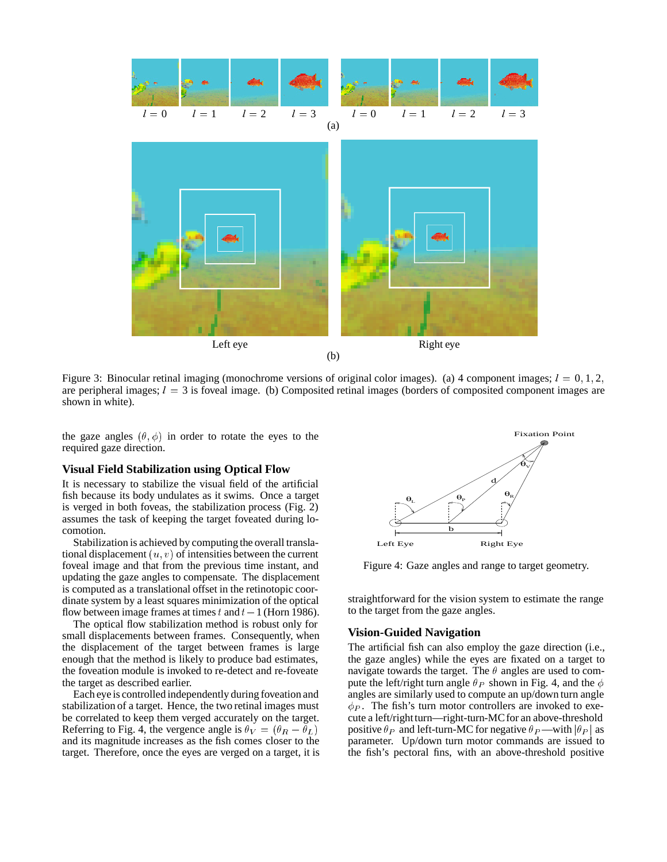

Figure 3: Binocular retinal imaging (monochrome versions of original color images). (a) 4 component images;  $l = 0, 1, 2,$ are peripheral images;  $l = 3$  is foveal image. (b) Composited retinal images (borders of composited component images are shown in white).

the gaze angles  $(\theta, \phi)$  in order to rotate the eyes to the required gaze direction.

#### **Visual Field Stabilization using Optical Flow**

It is necessary to stabilize the visual field of the artificial fish because its body undulates as it swims. Once a target is verged in both foveas, the stabilization process (Fig. 2) assumes the task of keeping the target foveated during locomotion.

Stabilization is achieved by computing the overall translational displacement  $(u, v)$  of intensities between the current foveal image and that from the previous time instant, and updating the gaze angles to compensate. The displacement is computed as a translational offset in the retinotopic coordinate system by a least squares minimization of the optical flow between image frames at times t and  $t-1$  (Horn 1986).

The optical flow stabilization method is robust only for small displacements between frames. Consequently, when the displacement of the target between frames is large enough that the method is likely to produce bad estimates, the foveation module is invoked to re-detect and re-foveate the target as described earlier.

Each eye is controlled independently during foveation and stabilization of a target. Hence, the two retinal images must be correlated to keep them verged accurately on the target. Referring to Fig. 4, the vergence angle is  $\theta_V = (\theta_R - \theta_L)$ and its magnitude increases as the fish comes closer to the target. Therefore, once the eyes are verged on a target, it is



Figure 4: Gaze angles and range to target geometry.

straightforward for the vision system to estimate the range to the target from the gaze angles.

### **Vision-Guided Navigation**

The artificial fish can also employ the gaze direction (i.e., the gaze angles) while the eyes are fixated on a target to navigate towards the target. The  $\theta$  angles are used to compute the left/right turn angle  $\theta_P$  shown in Fig. 4, and the  $\phi$ angles are similarly used to compute an up/down turn angle  $\phi_P$ . The fish's turn motor controllers are invoked to execute a left/rightturn—right-turn-MC for an above-threshold positive  $\theta_P$  and left-turn-MC for negative  $\theta_P$ —with  $|\theta_P|$  as parameter. Up/down turn motor commands are issued to the fish's pectoral fins, with an above-threshold positive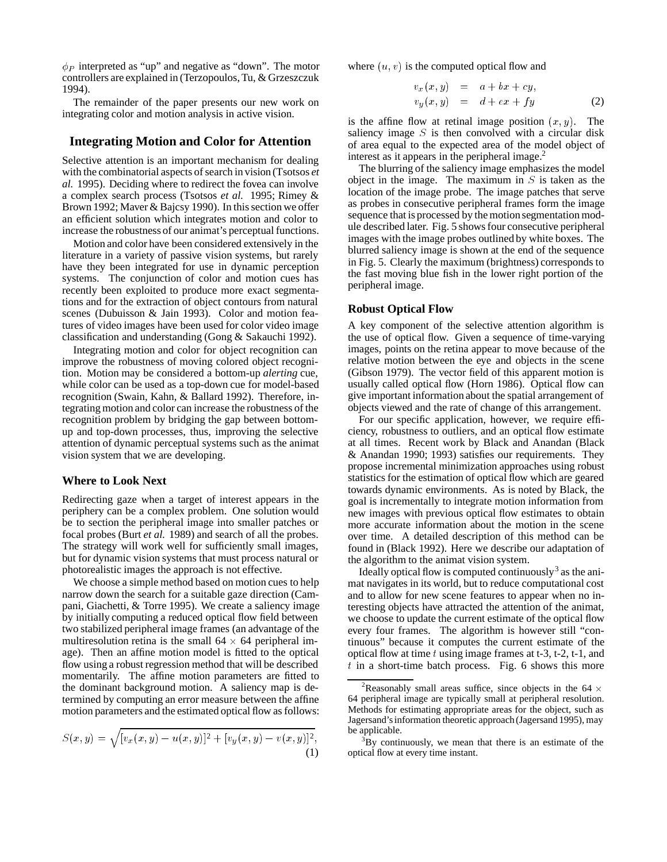$\phi_P$  interpreted as "up" and negative as "down". The motor controllers are explained in (Terzopoulos, Tu, & Grzeszczuk 1994).

The remainder of the paper presents our new work on integrating color and motion analysis in active vision.

### **Integrating Motion and Color for Attention**

Selective attention is an important mechanism for dealing with the combinatorial aspects of search in vision (Tsotsos *et al.* 1995). Deciding where to redirect the fovea can involve a complex search process (Tsotsos *et al.* 1995; Rimey & Brown 1992; Maver & Bajcsy 1990). In this section we offer an efficient solution which integrates motion and color to increase the robustness of our animat's perceptual functions.

Motion and color have been considered extensively in the literature in a variety of passive vision systems, but rarely have they been integrated for use in dynamic perception systems. The conjunction of color and motion cues has recently been exploited to produce more exact segmentations and for the extraction of object contours from natural scenes (Dubuisson & Jain 1993). Color and motion features of video images have been used for color video image classification and understanding (Gong & Sakauchi 1992).

Integrating motion and color for object recognition can improve the robustness of moving colored object recognition. Motion may be considered a bottom-up *alerting* cue, while color can be used as a top-down cue for model-based recognition (Swain, Kahn, & Ballard 1992). Therefore, integrating motion and color can increase the robustness of the recognition problem by bridging the gap between bottomup and top-down processes, thus, improving the selective attention of dynamic perceptual systems such as the animat vision system that we are developing.

#### **Where to Look Next**

Redirecting gaze when a target of interest appears in the periphery can be a complex problem. One solution would be to section the peripheral image into smaller patches or focal probes (Burt *et al.* 1989) and search of all the probes. The strategy will work well for sufficiently small images, but for dynamic vision systems that must process natural or photorealistic images the approach is not effective.

We choose a simple method based on motion cues to help narrow down the search for a suitable gaze direction (Campani, Giachetti, & Torre 1995). We create a saliency image by initially computing a reduced optical flow field between two stabilized peripheral image frames (an advantage of the multiresolution retina is the small  $64 \times 64$  peripheral image). Then an affine motion model is fitted to the optical flow using a robust regression method that will be described momentarily. The affine motion parameters are fitted to the dominant background motion. A saliency map is determined by computing an error measure between the affine motion parameters and the estimated optical flow as follows:

$$
S(x,y) = \sqrt{[v_x(x,y) - u(x,y)]^2 + [v_y(x,y) - v(x,y)]^2},
$$
\n(1)

where  $(u, v)$  is the computed optical flow and

 $\mathcal{L}$ 

$$
v_x(x, y) = a + bx + cy,
$$
  
\n
$$
v_y(x, y) = d + ex + fy
$$
 (2)

is the affine flow at retinal image position  $(x, y)$ . The saliency image  $S$  is then convolved with a circular disk of area equal to the expected area of the model object of interest as it appears in the peripheral image. $<sup>2</sup>$ </sup>

The blurring of the saliency image emphasizes the model object in the image. The maximum in  $S$  is taken as the location of the image probe. The image patches that serve as probes in consecutive peripheral frames form the image sequence that is processed by the motion segmentation module described later. Fig. 5 shows four consecutive peripheral images with the image probes outlined by white boxes. The blurred saliency image is shown at the end of the sequence in Fig. 5. Clearly the maximum (brightness) corresponds to the fast moving blue fish in the lower right portion of the peripheral image.

#### **Robust Optical Flow**

A key component of the selective attention algorithm is the use of optical flow. Given a sequence of time-varying images, points on the retina appear to move because of the relative motion between the eye and objects in the scene (Gibson 1979). The vector field of this apparent motion is usually called optical flow (Horn 1986). Optical flow can give important information about the spatial arrangement of objects viewed and the rate of change of this arrangement.

For our specific application, however, we require efficiency, robustness to outliers, and an optical flow estimate at all times. Recent work by Black and Anandan (Black & Anandan 1990; 1993) satisfies our requirements. They propose incremental minimization approaches using robust statistics for the estimation of optical flow which are geared towards dynamic environments. As is noted by Black, the goal is incrementally to integrate motion information from new images with previous optical flow estimates to obtain more accurate information about the motion in the scene over time. A detailed description of this method can be found in (Black 1992). Here we describe our adaptation of the algorithm to the animat vision system.

Ideally optical flow is computed continuously<sup>3</sup> as the animat navigates in its world, but to reduce computational cost and to allow for new scene features to appear when no interesting objects have attracted the attention of the animat, we choose to update the current estimate of the optical flow every four frames. The algorithm is however still "continuous" because it computes the current estimate of the optical flow at time  $t$  using image frames at t-3, t-2, t-1, and  $t$  in a short-time batch process. Fig. 6 shows this more

<sup>&</sup>lt;sup>2</sup>Reasonably small areas suffice, since objects in the 64  $\times$ 64 peripheral image are typically small at peripheral resolution. Methods for estimating appropriate areas for the object, such as Jagersand's information theoretic approach (Jagersand 1995), may be applicable.

 $3By$  continuously, we mean that there is an estimate of the optical flow at every time instant.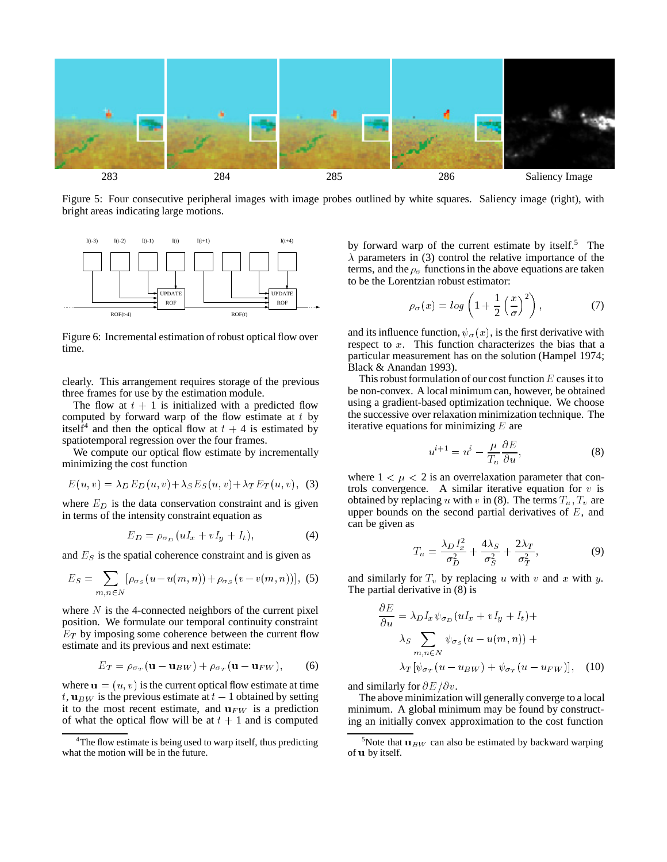

Figure 5: Four consecutive peripheral images with image probes outlined by white squares. Saliency image (right), with bright areas indicating large motions.



Figure 6: Incremental estimation of robust optical flow over time.

clearly. This arrangement requires storage of the previous three frames for use by the estimation module.

The flow at  $t + 1$  is initialized with a predicted flow computed by forward warp of the flow estimate at  $t$  by itself<sup>4</sup> and then the optical flow at  $t + 4$  is estimated by spatiotemporal regression over the four frames.

We compute our optical flow estimate by incrementally minimizing the cost function

$$
E(u, v) = \lambda_D E_D(u, v) + \lambda_S E_S(u, v) + \lambda_T E_T(u, v),
$$
 (3)

where  $E_D$  is the data conservation constraint and is given in terms of the intensity constraint equation as

$$
E_D = \rho_{\sigma_D} (uI_x + vI_y + I_t), \tag{4}
$$

and  $E<sub>S</sub>$  is the spatial coherence constraint and is given as

$$
E_S = \sum_{m,n \in N} [\rho_{\sigma_S}(u - u(m,n)) + \rho_{\sigma_S}(v - v(m,n))], \text{ (5)}
$$

where  $N$  is the 4-connected neighbors of the current pixel position. We formulate our temporal continuity constraint  $E_T$  by imposing some coherence between the current flow estimate and its previous and next estimate:

$$
E_T = \rho_{\sigma_T}(\mathbf{u} - \mathbf{u}_{BW}) + \rho_{\sigma_T}(\mathbf{u} - \mathbf{u}_{FW}), \qquad (6)
$$

where  $\mathbf{u} = (u, v)$  is the current optical flow estimate at time t,  $\mathbf{u}_{BW}$  is the previous estimate at  $t - 1$  obtained by setting it to the most recent estimate, and  $u_{FW}$  is a prediction of what the optical flow will be at  $t + 1$  and is computed

by forward warp of the current estimate by itself.<sup>5</sup> The  $\lambda$  parameters in (3) control the relative importance of the terms, and the  $\rho_{\sigma}$  functions in the above equations are taken to be the Lorentzian robust estimator:

$$
\rho_{\sigma}(x) = \log\left(1 + \frac{1}{2}\left(\frac{x}{\sigma}\right)^2\right),\tag{7}
$$

and its influence function,  $\psi_{\sigma}(x)$ , is the first derivative with respect to  $x$ . This function characterizes the bias that a particular measurement has on the solution (Hampel 1974; Black & Anandan 1993).

This robust formulation of our cost function  $E$  causes it to be non-convex. A local minimum can, however, be obtained using a gradient-based optimization technique. We choose the successive over relaxation minimization technique. The iterative equations for minimizing  $E$  are

$$
u^{i+1} = u^i - \frac{\mu}{T_u} \frac{\partial E}{\partial u},\tag{8}
$$

where  $1 < \mu < 2$  is an overrelaxation parameter that controls convergence. A similar iterative equation for  $v$  is obtained by replacing u with v in (8). The terms  $T_u$ ,  $T_v$  are upper bounds on the second partial derivatives of  $E$ , and can be given as

$$
T_u = \frac{\lambda_D I_x^2}{\sigma_D^2} + \frac{4\lambda_S}{\sigma_S^2} + \frac{2\lambda_T}{\sigma_T^2},\tag{9}
$$

and similarly for  $T_v$  by replacing u with v and x with y. The partial derivative in (8) is

$$
\frac{\partial E}{\partial u} = \lambda_D I_x \psi_{\sigma_D} (uI_x + vI_y + I_t) +
$$
  

$$
\lambda_S \sum_{m,n \in N} \psi_{\sigma_S} (u - u(m,n)) +
$$
  

$$
\lambda_T [\psi_{\sigma_T} (u - u_{BW}) + \psi_{\sigma_T} (u - u_{FW})], \quad (10)
$$

and similarly for  $\partial E/\partial v$ .

The above minimization will generally converge to a local minimum. A global minimum may be found by constructing an initially convex approximation to the cost function

<sup>&</sup>lt;sup>4</sup>The flow estimate is being used to warp itself, thus predicting what the motion will be in the future.

<sup>&</sup>lt;sup>5</sup>Note that  $\mathbf{u}_{BW}$  can also be estimated by backward warping of <sup>u</sup> by itself.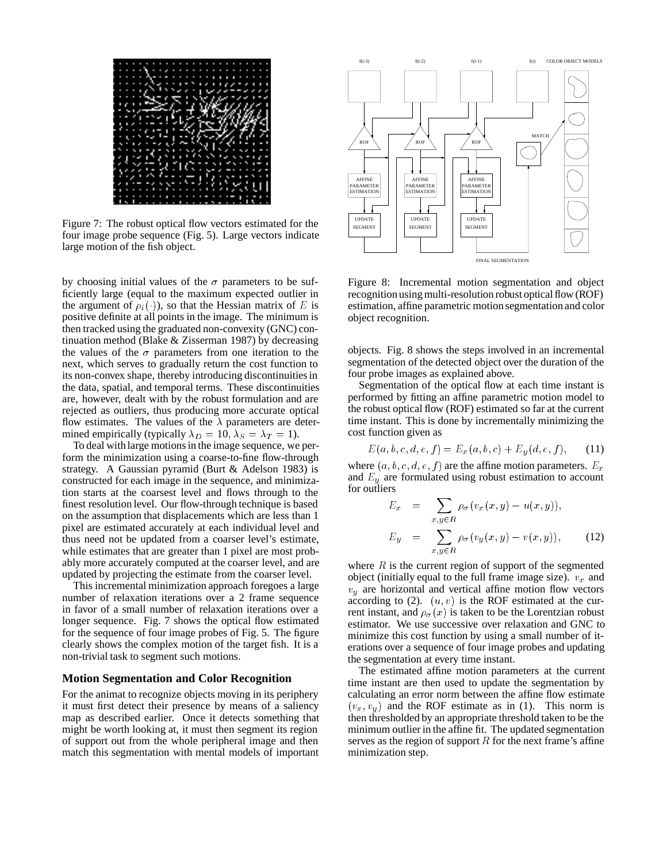

Figure 7: The robust optical flow vectors estimated for the four image probe sequence (Fig. 5). Large vectors indicate large motion of the fish object.

by choosing initial values of the  $\sigma$  parameters to be sufficiently large (equal to the maximum expected outlier in the argument of  $\rho_i(\cdot)$ , so that the Hessian matrix of E is positive definite at all points in the image. The minimum is then tracked using the graduated non-convexity (GNC) continuation method (Blake & Zisserman 1987) by decreasing the values of the  $\sigma$  parameters from one iteration to the next, which serves to gradually return the cost function to its non-convex shape, thereby introducing discontinuities in the data, spatial, and temporal terms. These discontinuities are, however, dealt with by the robust formulation and are rejected as outliers, thus producing more accurate optical flow estimates. The values of the  $\lambda$  parameters are determined empirically (typically  $\lambda_D = 10, \lambda_S = \lambda_T = 1$ ).

To deal with large motions in the image sequence, we perform the minimization using a coarse-to-fine flow-through strategy. A Gaussian pyramid (Burt & Adelson 1983) is constructed for each image in the sequence, and minimization starts at the coarsest level and flows through to the finest resolution level. Our flow-through technique is based on the assumption that displacements which are less than 1 pixel are estimated accurately at each individual level and thus need not be updated from a coarser level's estimate, while estimates that are greater than 1 pixel are most probably more accurately computed at the coarser level, and are updated by projecting the estimate from the coarser level.

This incremental minimization approach foregoes a large number of relaxation iterations over a 2 frame sequence in favor of a small number of relaxation iterations over a longer sequence. Fig. 7 shows the optical flow estimated for the sequence of four image probes of Fig. 5. The figure clearly shows the complex motion of the target fish. It is a non-trivial task to segment such motions.

#### **Motion Segmentation and Color Recognition**

For the animat to recognize objects moving in its periphery it must first detect their presence by means of a saliency map as described earlier. Once it detects something that might be worth looking at, it must then segment its region of support out from the whole peripheral image and then match this segmentation with mental models of important



Figure 8: Incremental motion segmentation and object recognition using multi-resolution robust optical flow (ROF) estimation, affine parametric motion segmentation and color object recognition.

objects. Fig. 8 shows the steps involved in an incremental segmentation of the detected object over the duration of the four probe images as explained above.

Segmentation of the optical flow at each time instant is performed by fitting an affine parametric motion model to the robust optical flow (ROF) estimated so far at the current time instant. This is done by incrementally minimizing the cost function given as

$$
E(a, b, c, d, e, f) = E_x(a, b, c) + E_y(d, e, f), \quad (11)
$$

where  $(a, b, c, d, e, f)$  are the affine motion parameters.  $E_x$ and  $E_y$  are formulated using robust estimation to account for outliers

$$
E_x = \sum_{x,y \in R} \rho_{\sigma}(v_x(x,y) - u(x,y)),
$$
  
\n
$$
E_y = \sum_{x,y \in R} \rho_{\sigma}(v_y(x,y) - v(x,y)),
$$
 (12)

where  $R$  is the current region of support of the segmented object (initially equal to the full frame image size).  $v_x$  and  $v_y$  are horizontal and vertical affine motion flow vectors according to (2).  $(u, v)$  is the ROF estimated at the current instant, and  $\rho_{\sigma}(x)$  is taken to be the Lorentzian robust estimator. We use successive over relaxation and GNC to minimize this cost function by using a small number of iterations over a sequence of four image probes and updating the segmentation at every time instant.

The estimated affine motion parameters at the current time instant are then used to update the segmentation by calculating an error norm between the affine flow estimate  $(v_x, v_y)$  and the ROF estimate as in (1). This norm is then thresholded by an appropriate threshold taken to be the minimum outlier in the affine fit. The updated segmentation serves as the region of support  $R$  for the next frame's affine minimization step.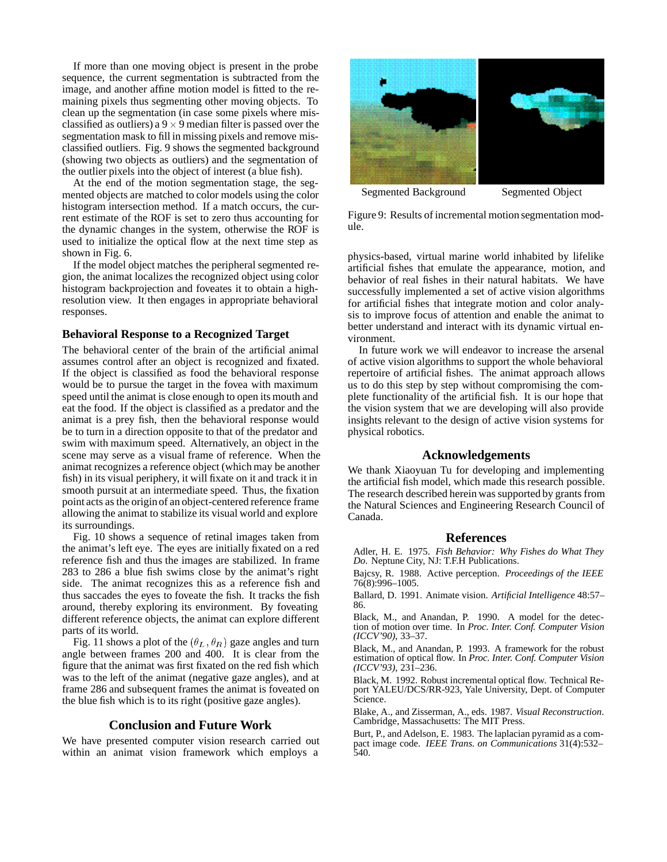If more than one moving object is present in the probe sequence, the current segmentation is subtracted from the image, and another affine motion model is fitted to the remaining pixels thus segmenting other moving objects. To clean up the segmentation (in case some pixels where misclassified as outliers) a  $9 \times 9$  median filter is passed over the segmentation mask to fill in missing pixels and remove misclassified outliers. Fig. 9 shows the segmented background (showing two objects as outliers) and the segmentation of the outlier pixels into the object of interest (a blue fish).

At the end of the motion segmentation stage, the segmented objects are matched to color models using the color histogram intersection method. If a match occurs, the current estimate of the ROF is set to zero thus accounting for the dynamic changes in the system, otherwise the ROF is used to initialize the optical flow at the next time step as shown in Fig. 6.

If the model object matches the peripheral segmented region, the animat localizes the recognized object using color histogram backprojection and foveates it to obtain a highresolution view. It then engages in appropriate behavioral responses.

### **Behavioral Response to a Recognized Target**

The behavioral center of the brain of the artificial animal assumes control after an object is recognized and fixated. If the object is classified as food the behavioral response would be to pursue the target in the fovea with maximum speed until the animat is close enough to open its mouth and eat the food. If the object is classified as a predator and the animat is a prey fish, then the behavioral response would be to turn in a direction opposite to that of the predator and swim with maximum speed. Alternatively, an object in the scene may serve as a visual frame of reference. When the animat recognizes a reference object (which may be another fish) in its visual periphery, it will fixate on it and track it in smooth pursuit at an intermediate speed. Thus, the fixation point acts as the originof an object-centered reference frame allowing the animat to stabilize its visual world and explore its surroundings.

Fig. 10 shows a sequence of retinal images taken from the animat's left eye. The eyes are initially fixated on a red reference fish and thus the images are stabilized. In frame 283 to 286 a blue fish swims close by the animat's right side. The animat recognizes this as a reference fish and thus saccades the eyes to foveate the fish. It tracks the fish around, thereby exploring its environment. By foveating different reference objects, the animat can explore different parts of its world.

Fig. 11 shows a plot of the  $(\theta_L, \theta_R)$  gaze angles and turn angle between frames 200 and 400. It is clear from the figure that the animat was first fixated on the red fish which was to the left of the animat (negative gaze angles), and at frame 286 and subsequent frames the animat is foveated on the blue fish which is to its right (positive gaze angles).

### **Conclusion and Future Work**

We have presented computer vision research carried out within an animat vision framework which employs a



Segmented Background Segmented Object

Figure 9: Results of incremental motion segmentation module.

physics-based, virtual marine world inhabited by lifelike artificial fishes that emulate the appearance, motion, and behavior of real fishes in their natural habitats. We have successfully implemented a set of active vision algorithms for artificial fishes that integrate motion and color analysis to improve focus of attention and enable the animat to better understand and interact with its dynamic virtual environment.

In future work we will endeavor to increase the arsenal of active vision algorithms to support the whole behavioral repertoire of artificial fishes. The animat approach allows us to do this step by step without compromising the complete functionality of the artificial fish. It is our hope that the vision system that we are developing will also provide insights relevant to the design of active vision systems for physical robotics.

### **Acknowledgements**

We thank Xiaoyuan Tu for developing and implementing the artificial fish model, which made this research possible. The research described herein was supported by grants from the Natural Sciences and Engineering Research Council of Canada.

### **References**

Adler, H. E. 1975. *Fish Behavior: Why Fishes do What They Do*. Neptune City, NJ: T.F.H Publications.

Bajcsy, R. 1988. Active perception. *Proceedings of the IEEE* 76(8):996–1005.

Ballard, D. 1991. Animate vision. *Artificial Intelligence* 48:57– 86.

Black, M., and Anandan, P. 1990. A model for the detection of motion over time. In *Proc. Inter. Conf. Computer Vision (ICCV'90)*, 33–37.

Black, M., and Anandan, P. 1993. A framework for the robust estimation of optical flow. In *Proc. Inter. Conf. Computer Vision (ICCV'93)*, 231–236.

Black, M. 1992. Robust incremental optical flow. Technical Report YALEU/DCS/RR-923, Yale University, Dept. of Computer Science.

Blake, A., and Zisserman, A., eds. 1987. *Visual Reconstruction*. Cambridge, Massachusetts: The MIT Press.

Burt, P., and Adelson, E. 1983. The laplacian pyramid as a compact image code. *IEEE Trans. on Communications* 31(4):532– 540.